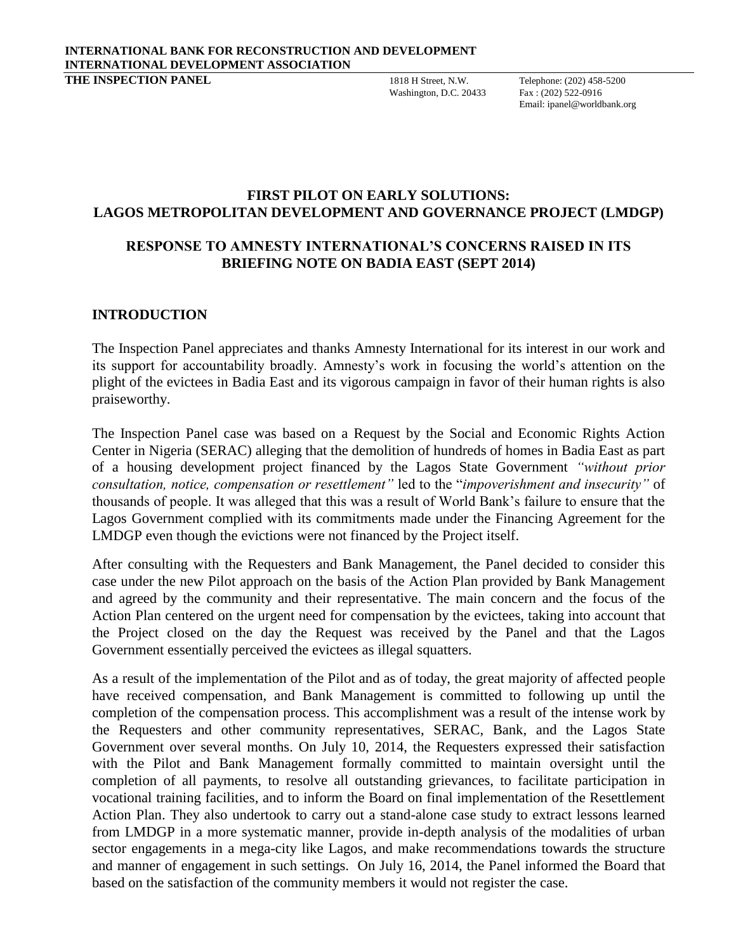Washington, D.C. 20433

**THE INSPECTION PANEL** 1818 H Street, N.W. Telephone: (202) 458-5200<br>Washington, D.C. 20433 Fax: (202) 522-0916 Email: ipanel@worldbank.org

### **FIRST PILOT ON EARLY SOLUTIONS: LAGOS METROPOLITAN DEVELOPMENT AND GOVERNANCE PROJECT (LMDGP)**

# **RESPONSE TO AMNESTY INTERNATIONAL'S CONCERNS RAISED IN ITS BRIEFING NOTE ON BADIA EAST (SEPT 2014)**

## **INTRODUCTION**

The Inspection Panel appreciates and thanks Amnesty International for its interest in our work and its support for accountability broadly. Amnesty's work in focusing the world's attention on the plight of the evictees in Badia East and its vigorous campaign in favor of their human rights is also praiseworthy.

The Inspection Panel case was based on a Request by the Social and Economic Rights Action Center in Nigeria (SERAC) alleging that the demolition of hundreds of homes in Badia East as part of a housing development project financed by the Lagos State Government *"without prior consultation, notice, compensation or resettlement"* led to the "*impoverishment and insecurity"* of thousands of people. It was alleged that this was a result of World Bank's failure to ensure that the Lagos Government complied with its commitments made under the Financing Agreement for the LMDGP even though the evictions were not financed by the Project itself.

After consulting with the Requesters and Bank Management, the Panel decided to consider this case under the new Pilot approach on the basis of the Action Plan provided by Bank Management and agreed by the community and their representative. The main concern and the focus of the Action Plan centered on the urgent need for compensation by the evictees, taking into account that the Project closed on the day the Request was received by the Panel and that the Lagos Government essentially perceived the evictees as illegal squatters.

As a result of the implementation of the Pilot and as of today, the great majority of affected people have received compensation, and Bank Management is committed to following up until the completion of the compensation process. This accomplishment was a result of the intense work by the Requesters and other community representatives, SERAC, Bank, and the Lagos State Government over several months. On July 10, 2014, the Requesters expressed their satisfaction with the Pilot and Bank Management formally committed to maintain oversight until the completion of all payments, to resolve all outstanding grievances, to facilitate participation in vocational training facilities, and to inform the Board on final implementation of the Resettlement Action Plan. They also undertook to carry out a stand-alone case study to extract lessons learned from LMDGP in a more systematic manner, provide in-depth analysis of the modalities of urban sector engagements in a mega-city like Lagos, and make recommendations towards the structure and manner of engagement in such settings. On July 16, 2014, the Panel informed the Board that based on the satisfaction of the community members it would not register the case.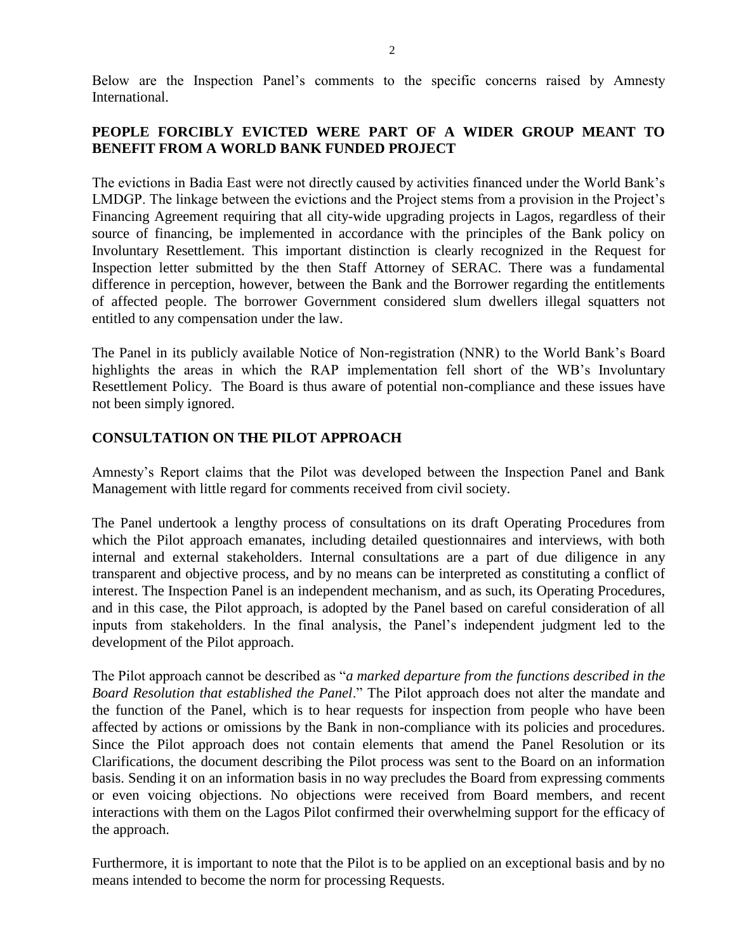Below are the Inspection Panel's comments to the specific concerns raised by Amnesty International.

# **PEOPLE FORCIBLY EVICTED WERE PART OF A WIDER GROUP MEANT TO BENEFIT FROM A WORLD BANK FUNDED PROJECT**

The evictions in Badia East were not directly caused by activities financed under the World Bank's LMDGP. The linkage between the evictions and the Project stems from a provision in the Project's Financing Agreement requiring that all city-wide upgrading projects in Lagos, regardless of their source of financing, be implemented in accordance with the principles of the Bank policy on Involuntary Resettlement. This important distinction is clearly recognized in the Request for Inspection letter submitted by the then Staff Attorney of SERAC. There was a fundamental difference in perception, however, between the Bank and the Borrower regarding the entitlements of affected people. The borrower Government considered slum dwellers illegal squatters not entitled to any compensation under the law.

The Panel in its publicly available Notice of Non-registration (NNR) to the World Bank's Board highlights the areas in which the RAP implementation fell short of the WB's Involuntary Resettlement Policy. The Board is thus aware of potential non-compliance and these issues have not been simply ignored.

## **CONSULTATION ON THE PILOT APPROACH**

Amnesty's Report claims that the Pilot was developed between the Inspection Panel and Bank Management with little regard for comments received from civil society.

The Panel undertook a lengthy process of consultations on its draft Operating Procedures from which the Pilot approach emanates, including detailed questionnaires and interviews, with both internal and external stakeholders. Internal consultations are a part of due diligence in any transparent and objective process, and by no means can be interpreted as constituting a conflict of interest. The Inspection Panel is an independent mechanism, and as such, its Operating Procedures, and in this case, the Pilot approach, is adopted by the Panel based on careful consideration of all inputs from stakeholders. In the final analysis, the Panel's independent judgment led to the development of the Pilot approach.

The Pilot approach cannot be described as "*a marked departure from the functions described in the Board Resolution that established the Panel*." The Pilot approach does not alter the mandate and the function of the Panel, which is to hear requests for inspection from people who have been affected by actions or omissions by the Bank in non-compliance with its policies and procedures. Since the Pilot approach does not contain elements that amend the Panel Resolution or its Clarifications, the document describing the Pilot process was sent to the Board on an information basis. Sending it on an information basis in no way precludes the Board from expressing comments or even voicing objections. No objections were received from Board members, and recent interactions with them on the Lagos Pilot confirmed their overwhelming support for the efficacy of the approach.

Furthermore, it is important to note that the Pilot is to be applied on an exceptional basis and by no means intended to become the norm for processing Requests.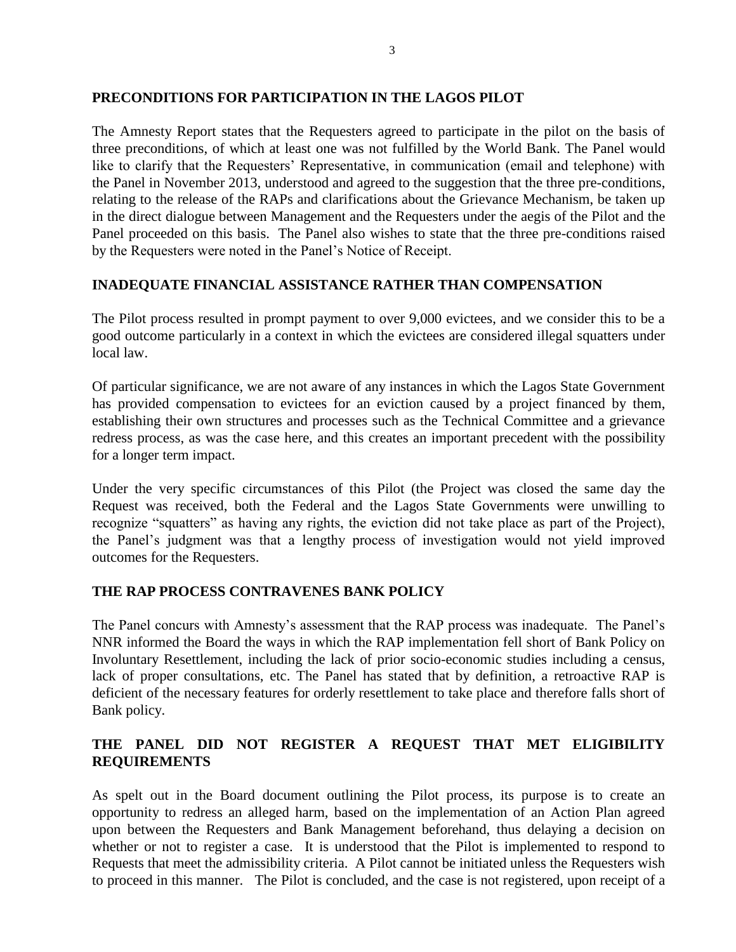#### **PRECONDITIONS FOR PARTICIPATION IN THE LAGOS PILOT**

The Amnesty Report states that the Requesters agreed to participate in the pilot on the basis of three preconditions, of which at least one was not fulfilled by the World Bank. The Panel would like to clarify that the Requesters' Representative, in communication (email and telephone) with the Panel in November 2013, understood and agreed to the suggestion that the three pre-conditions, relating to the release of the RAPs and clarifications about the Grievance Mechanism, be taken up in the direct dialogue between Management and the Requesters under the aegis of the Pilot and the Panel proceeded on this basis. The Panel also wishes to state that the three pre-conditions raised by the Requesters were noted in the Panel's Notice of Receipt.

### **INADEQUATE FINANCIAL ASSISTANCE RATHER THAN COMPENSATION**

The Pilot process resulted in prompt payment to over 9,000 evictees, and we consider this to be a good outcome particularly in a context in which the evictees are considered illegal squatters under local law.

Of particular significance, we are not aware of any instances in which the Lagos State Government has provided compensation to evictees for an eviction caused by a project financed by them, establishing their own structures and processes such as the Technical Committee and a grievance redress process, as was the case here, and this creates an important precedent with the possibility for a longer term impact.

Under the very specific circumstances of this Pilot (the Project was closed the same day the Request was received, both the Federal and the Lagos State Governments were unwilling to recognize "squatters" as having any rights, the eviction did not take place as part of the Project), the Panel's judgment was that a lengthy process of investigation would not yield improved outcomes for the Requesters.

### **THE RAP PROCESS CONTRAVENES BANK POLICY**

The Panel concurs with Amnesty's assessment that the RAP process was inadequate. The Panel's NNR informed the Board the ways in which the RAP implementation fell short of Bank Policy on Involuntary Resettlement, including the lack of prior socio-economic studies including a census, lack of proper consultations, etc. The Panel has stated that by definition, a retroactive RAP is deficient of the necessary features for orderly resettlement to take place and therefore falls short of Bank policy.

# **THE PANEL DID NOT REGISTER A REQUEST THAT MET ELIGIBILITY REQUIREMENTS**

As spelt out in the Board document outlining the Pilot process, its purpose is to create an opportunity to redress an alleged harm, based on the implementation of an Action Plan agreed upon between the Requesters and Bank Management beforehand, thus delaying a decision on whether or not to register a case. It is understood that the Pilot is implemented to respond to Requests that meet the admissibility criteria. A Pilot cannot be initiated unless the Requesters wish to proceed in this manner. The Pilot is concluded, and the case is not registered, upon receipt of a